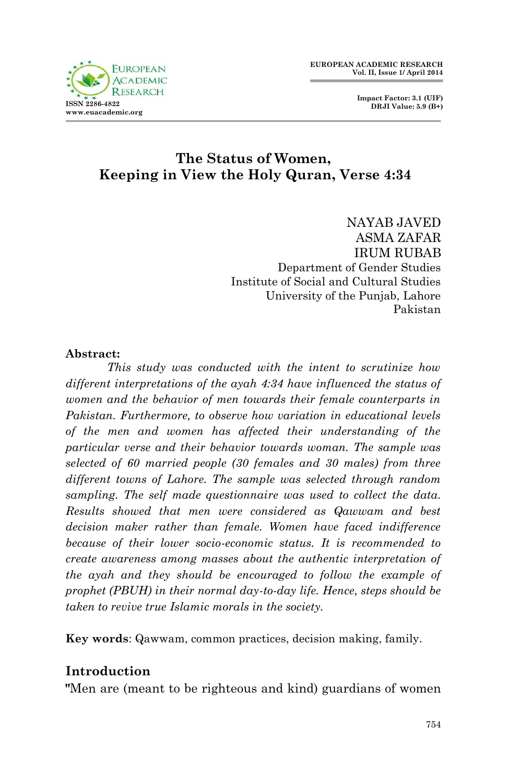

 **Impact Factor: 3.1 (UIF) DRJI Value: 5.9 (B+)**

## **The Status of Women, Keeping in View the Holy Quran, Verse 4:34**

NAYAB JAVED ASMA ZAFAR IRUM RUBAB Department of Gender Studies Institute of Social and Cultural Studies University of the Punjab, Lahore Pakistan

#### **Abstract:**

*This study was conducted with the intent to scrutinize how different interpretations of the ayah 4:34 have influenced the status of women and the behavior of men towards their female counterparts in Pakistan. Furthermore, to observe how variation in educational levels of the men and women has affected their understanding of the particular verse and their behavior towards woman. The sample was selected of 60 married people (30 females and 30 males) from three different towns of Lahore. The sample was selected through random sampling. The self made questionnaire was used to collect the data. Results showed that men were considered as Qawwam and best decision maker rather than female. Women have faced indifference because of their lower socio-economic status. It is recommended to create awareness among masses about the authentic interpretation of the ayah and they should be encouraged to follow the example of prophet (PBUH) in their normal day-to-day life. Hence, steps should be taken to revive true Islamic morals in the society.*

**Key words**: Qawwam, common practices, decision making, family.

#### **Introduction**

**"**Men are (meant to be righteous and kind) guardians of women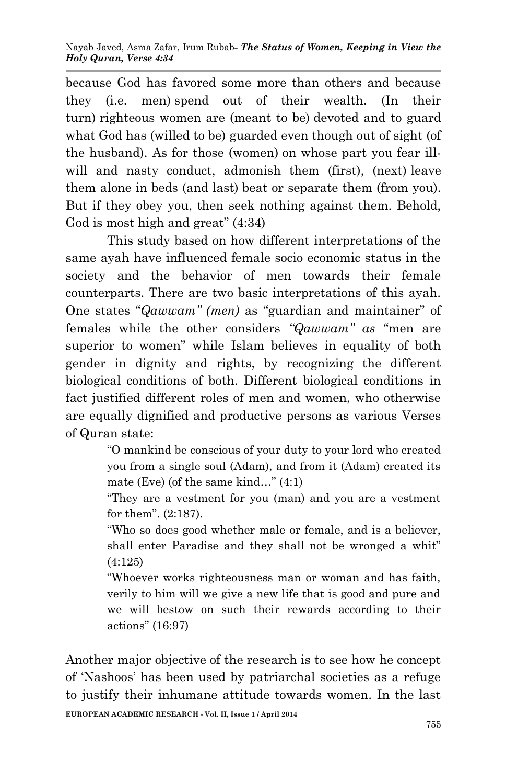because God has favored some more than others and because they (i.e. men) spend out of their wealth. (In their turn) righteous women are (meant to be) devoted and to guard what God has (willed to be) guarded even though out of sight (of the husband). As for those (women) on whose part you fear illwill and nasty conduct, admonish them (first), (next) leave them alone in beds (and last) beat or separate them (from you). But if they obey you, then seek nothing against them. Behold, God is most high and great" (4:34)

This study based on how different interpretations of the same ayah have influenced female socio economic status in the society and the behavior of men towards their female counterparts. There are two basic interpretations of this ayah. One states "*Qawwam" (men)* as "guardian and maintainer" of females while the other considers *"Qawwam" as* "men are superior to women" while Islam believes in equality of both gender in dignity and rights, by recognizing the different biological conditions of both. Different biological conditions in fact justified different roles of men and women, who otherwise are equally dignified and productive persons as various Verses of Quran state:

> "O mankind be conscious of your duty to your lord who created you from a single soul (Adam), and from it (Adam) created its mate (Eve) (of the same kind…" (4:1)

> "They are a vestment for you (man) and you are a vestment for them". (2:187).

> "Who so does good whether male or female, and is a believer, shall enter Paradise and they shall not be wronged a whit" (4:125)

> "Whoever works righteousness man or woman and has faith, verily to him will we give a new life that is good and pure and we will bestow on such their rewards according to their actions" (16:97)

**EUROPEAN ACADEMIC RESEARCH - Vol. II, Issue 1 / April 2014** Another major objective of the research is to see how he concept of 'Nashoos' has been used by patriarchal societies as a refuge to justify their inhumane attitude towards women. In the last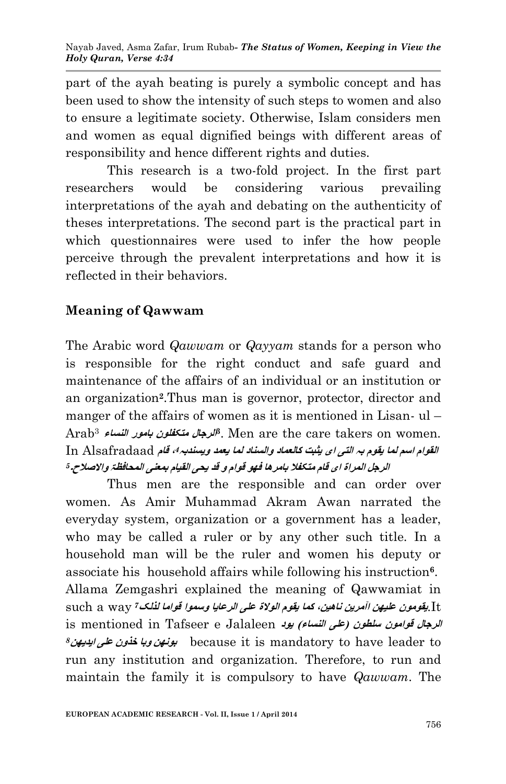part of the ayah beating is purely a symbolic concept and has been used to show the intensity of such steps to women and also to ensure a legitimate society. Otherwise, Islam considers men and women as equal dignified beings with different areas of responsibility and hence different rights and duties.

This research is a two-fold project. In the first part researchers would be considering various prevailing interpretations of the ayah and debating on the authenticity of theses interpretations. The second part is the practical part in which questionnaires were used to infer the how people perceive through the prevalent interpretations and how it is reflected in their behaviors.

## **Meaning of Qawwam**

The Arabic word *Qawwam* or *Qayyam* stands for a person who is responsible for the right conduct and safe guard and maintenance of the affairs of an individual or an institution or an organization**<sup>2</sup>** .Thus man is governor, protector, director and manger of the affairs of women as it is mentioned in Lisan- ul – **الرجال متکفلون بامور النساء** <sup>3</sup>Arab **3** . Men are the care takers on women. In Alsafradaad **قام ، القوام اسم لما یقوم بہ التی ای یثبت کالعماد والسناد لما یعمد ویسندبہ***<sup>4</sup>* **الرجل المراۃ ای قام متکفال بامرھا فھو قوام و قد یحی القیام بمعنی المحافظۃ واالصالح۔***<sup>5</sup>*

Thus men are the responsible and can order over women. As Amir Muhammad Akram Awan narrated the everyday system, organization or a government has a leader, who may be called a ruler or by any other such title. In a household man will be the ruler and women his deputy or associate his household affairs while following his instruction**<sup>6</sup>** . Allama Zemgashri explained the meaning of Qawwamiat in It.**یقومون علیھن اآمرین ناھین، کما یقوم الوالۃ علی الرعایا وسموا قواما لذلک***<sup>7</sup>* way a such **الرجال قوامون سلطون )علی النساء( یود** Jalaleen e Tafseer in mentioned is *<sup>8</sup>***ایدیھن علی خذون وبا بونھن** because it is mandatory to have leader to run any institution and organization. Therefore, to run and maintain the family it is compulsory to have *Qawwam*. The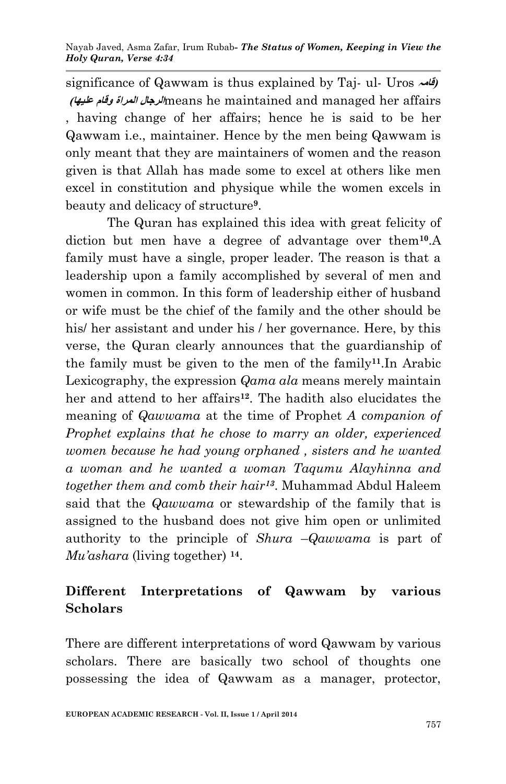significance of Qawwam is thus explained by Taj- ul- Uros **قامہ) )علیھا وقام المراۃ الرجال**means he maintained and managed her affairs , having change of her affairs; hence he is said to be her Qawwam i.e., maintainer. Hence by the men being Qawwam is only meant that they are maintainers of women and the reason given is that Allah has made some to excel at others like men excel in constitution and physique while the women excels in beauty and delicacy of structure**<sup>9</sup>** .

The Quran has explained this idea with great felicity of diction but men have a degree of advantage over them**10**.A family must have a single, proper leader. The reason is that a leadership upon a family accomplished by several of men and women in common. In this form of leadership either of husband or wife must be the chief of the family and the other should be his/ her assistant and under his / her governance. Here, by this verse, the Quran clearly announces that the guardianship of the family must be given to the men of the family**11**.In Arabic Lexicography, the expression *Qama ala* means merely maintain her and attend to her affairs**<sup>12</sup>** . The hadith also elucidates the meaning of *Qawwama* at the time of Prophet *A companion of Prophet explains that he chose to marry an older, experienced women because he had young orphaned , sisters and he wanted a woman and he wanted a woman Taqumu Alayhinna and together them and comb their hair13*. Muhammad Abdul Haleem said that the *Qawwama* or stewardship of the family that is assigned to the husband does not give him open or unlimited authority to the principle of *Shura* –*Qawwama* is part of *Mu'ashara* (living together) **<sup>14</sup>** .

# **Different Interpretations of Qawwam by various Scholars**

There are different interpretations of word Qawwam by various scholars. There are basically two school of thoughts one possessing the idea of Qawwam as a manager, protector,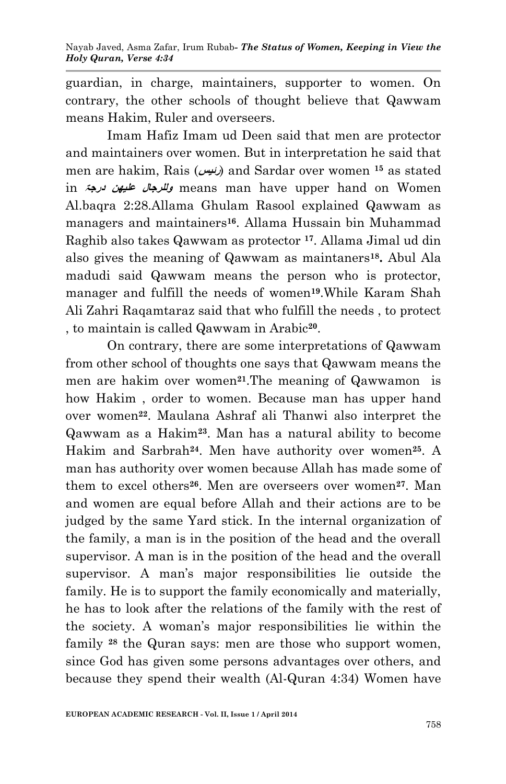guardian, in charge, maintainers, supporter to women. On contrary, the other schools of thought believe that Qawwam means Hakim, Ruler and overseers.

Imam Hafiz Imam ud Deen said that men are protector and maintainers over women. But in interpretation he said that men are hakim, Rais (*رئیس)* and Sardar over women <sup>15</sup> as stated in **درجۃ علیھن وللرجال** means man have upper hand on Women Al.baqra 2:28.Allama Ghulam Rasool explained Qawwam as managers and maintainers**16**. Allama Hussain bin Muhammad Raghib also takes Qawwam as protector **17**. Allama Jimal ud din also gives the meaning of Qawwam as maintaners**<sup>18</sup> .** Abul Ala madudi said Qawwam means the person who is protector, manager and fulfill the needs of women**19**.While Karam Shah Ali Zahri Raqamtaraz said that who fulfill the needs , to protect , to maintain is called Qawwam in Arabic**<sup>20</sup>** .

On contrary, there are some interpretations of Qawwam from other school of thoughts one says that Qawwam means the men are hakim over women**21**.The meaning of Qawwamon is how Hakim , order to women. Because man has upper hand over women**22**. Maulana Ashraf ali Thanwi also interpret the Qawwam as a Hakim**23**. Man has a natural ability to become Hakim and Sarbrah**24**. Men have authority over women**25**. A man has authority over women because Allah has made some of them to excel others**26**. Men are overseers over women**<sup>27</sup>** . Man and women are equal before Allah and their actions are to be judged by the same Yard stick. In the internal organization of the family, a man is in the position of the head and the overall supervisor. A man is in the position of the head and the overall supervisor. A man's major responsibilities lie outside the family. He is to support the family economically and materially, he has to look after the relations of the family with the rest of the society. A woman's major responsibilities lie within the family **<sup>28</sup>** the Quran says: men are those who support women, since God has given some persons advantages over others, and because they spend their wealth (Al-Quran 4:34) Women have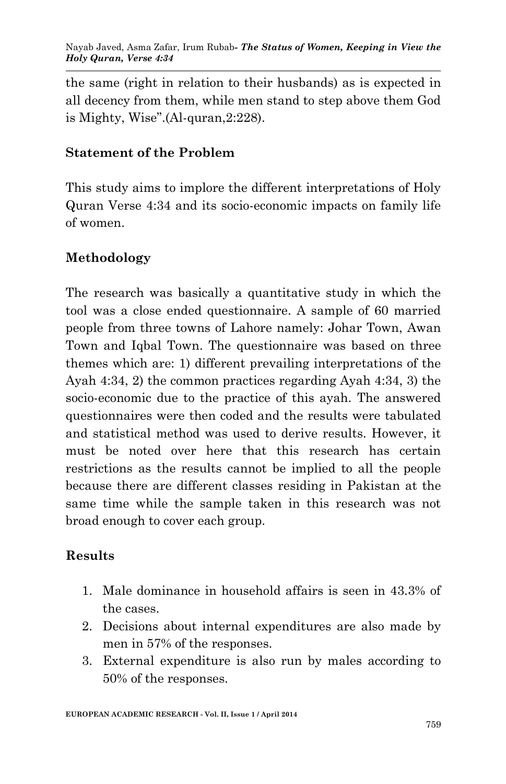the same (right in relation to their husbands) as is expected in all decency from them, while men stand to step above them God is Mighty, Wise".(Al-quran,2:228).

#### **Statement of the Problem**

This study aims to implore the different interpretations of Holy Quran Verse 4:34 and its socio-economic impacts on family life of women.

## **Methodology**

The research was basically a quantitative study in which the tool was a close ended questionnaire. A sample of 60 married people from three towns of Lahore namely: Johar Town, Awan Town and Iqbal Town. The questionnaire was based on three themes which are: 1) different prevailing interpretations of the Ayah 4:34, 2) the common practices regarding Ayah 4:34, 3) the socio-economic due to the practice of this ayah. The answered questionnaires were then coded and the results were tabulated and statistical method was used to derive results. However, it must be noted over here that this research has certain restrictions as the results cannot be implied to all the people because there are different classes residing in Pakistan at the same time while the sample taken in this research was not broad enough to cover each group.

## **Results**

- 1. Male dominance in household affairs is seen in 43.3% of the cases.
- 2. Decisions about internal expenditures are also made by men in 57% of the responses.
- 3. External expenditure is also run by males according to 50% of the responses.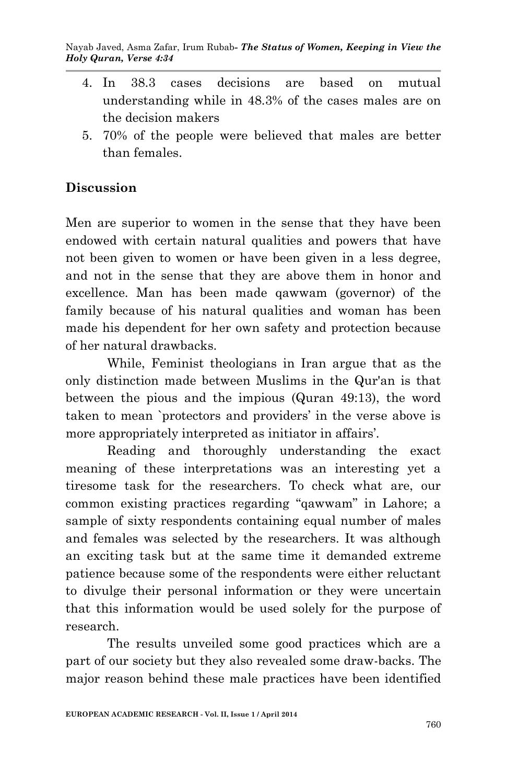- 4. In 38.3 cases decisions are based on mutual understanding while in 48.3% of the cases males are on the decision makers
- 5. 70% of the people were believed that males are better than females.

# **Discussion**

Men are superior to women in the sense that they have been endowed with certain natural qualities and powers that have not been given to women or have been given in a less degree, and not in the sense that they are above them in honor and excellence. Man has been made qawwam (governor) of the family because of his natural qualities and woman has been made his dependent for her own safety and protection because of her natural drawbacks.

While, Feminist theologians in Iran argue that as the only distinction made between Muslims in the Qur'an is that between the pious and the impious (Quran 49:13), the word taken to mean `protectors and providers' in the verse above is more appropriately interpreted as initiator in affairs'.

Reading and thoroughly understanding the exact meaning of these interpretations was an interesting yet a tiresome task for the researchers. To check what are, our common existing practices regarding "qawwam" in Lahore; a sample of sixty respondents containing equal number of males and females was selected by the researchers. It was although an exciting task but at the same time it demanded extreme patience because some of the respondents were either reluctant to divulge their personal information or they were uncertain that this information would be used solely for the purpose of research.

The results unveiled some good practices which are a part of our society but they also revealed some draw-backs. The major reason behind these male practices have been identified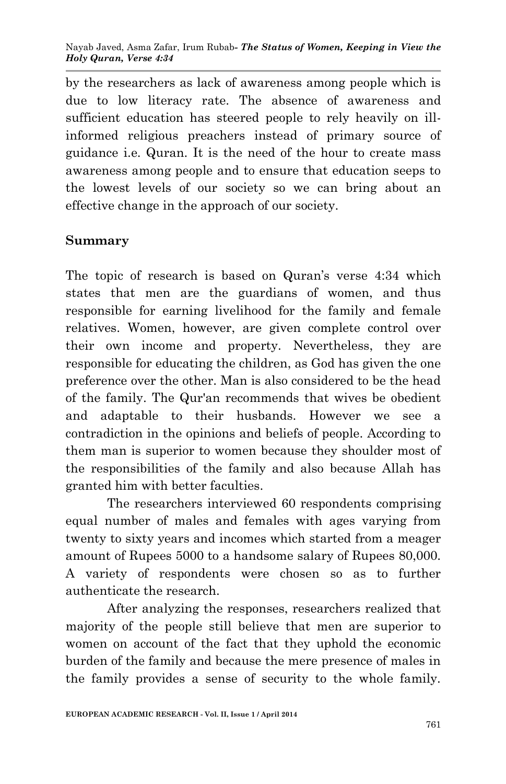by the researchers as lack of awareness among people which is due to low literacy rate. The absence of awareness and sufficient education has steered people to rely heavily on illinformed religious preachers instead of primary source of guidance i.e. Quran. It is the need of the hour to create mass awareness among people and to ensure that education seeps to the lowest levels of our society so we can bring about an effective change in the approach of our society.

#### **Summary**

The topic of research is based on Quran's verse 4:34 which states that men are the guardians of women, and thus responsible for earning livelihood for the family and female relatives. Women, however, are given complete control over their own income and property. Nevertheless, they are responsible for educating the children, as God has given the one preference over the other. Man is also considered to be the head of the family. The Qur'an recommends that wives be obedient and adaptable to their husbands. However we see a contradiction in the opinions and beliefs of people. According to them man is superior to women because they shoulder most of the responsibilities of the family and also because Allah has granted him with better faculties.

The researchers interviewed 60 respondents comprising equal number of males and females with ages varying from twenty to sixty years and incomes which started from a meager amount of Rupees 5000 to a handsome salary of Rupees 80,000. A variety of respondents were chosen so as to further authenticate the research.

After analyzing the responses, researchers realized that majority of the people still believe that men are superior to women on account of the fact that they uphold the economic burden of the family and because the mere presence of males in the family provides a sense of security to the whole family.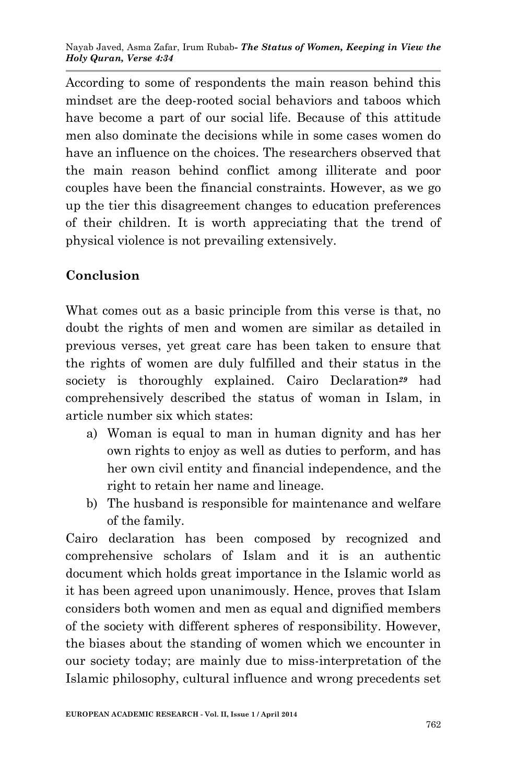According to some of respondents the main reason behind this mindset are the deep-rooted social behaviors and taboos which have become a part of our social life. Because of this attitude men also dominate the decisions while in some cases women do have an influence on the choices. The researchers observed that the main reason behind conflict among illiterate and poor couples have been the financial constraints. However, as we go up the tier this disagreement changes to education preferences of their children. It is worth appreciating that the trend of physical violence is not prevailing extensively.

# **Conclusion**

What comes out as a basic principle from this verse is that, no doubt the rights of men and women are similar as detailed in previous verses, yet great care has been taken to ensure that the rights of women are duly fulfilled and their status in the society is thoroughly explained. Cairo Declaration<sup>29</sup> had comprehensively described the status of woman in Islam, in article number six which states:

- a) Woman is equal to man in human dignity and has her own rights to enjoy as well as duties to perform, and has her own civil entity and financial independence, and the right to retain her name and lineage.
- b) The husband is responsible for maintenance and welfare of the family.

Cairo declaration has been composed by recognized and comprehensive scholars of Islam and it is an authentic document which holds great importance in the Islamic world as it has been agreed upon unanimously. Hence, proves that Islam considers both women and men as equal and dignified members of the society with different spheres of responsibility. However, the biases about the standing of women which we encounter in our society today; are mainly due to miss-interpretation of the Islamic philosophy, cultural influence and wrong precedents set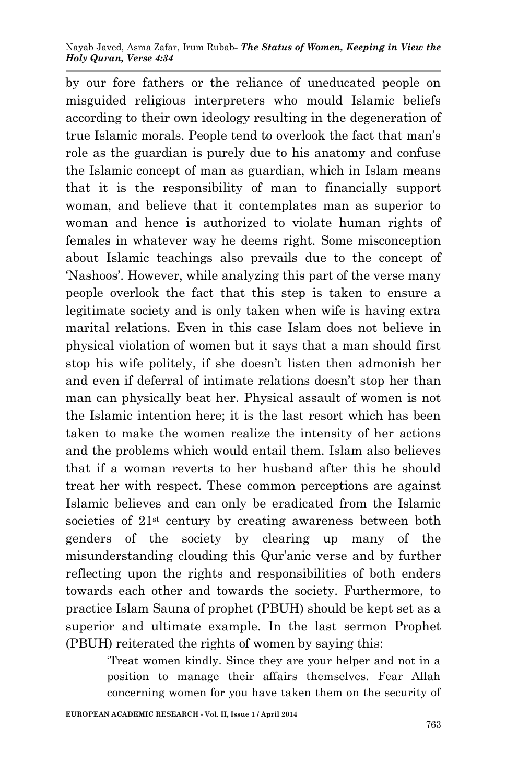by our fore fathers or the reliance of uneducated people on misguided religious interpreters who mould Islamic beliefs according to their own ideology resulting in the degeneration of true Islamic morals. People tend to overlook the fact that man's role as the guardian is purely due to his anatomy and confuse the Islamic concept of man as guardian, which in Islam means that it is the responsibility of man to financially support woman, and believe that it contemplates man as superior to woman and hence is authorized to violate human rights of females in whatever way he deems right. Some misconception about Islamic teachings also prevails due to the concept of 'Nashoos'. However, while analyzing this part of the verse many people overlook the fact that this step is taken to ensure a legitimate society and is only taken when wife is having extra marital relations. Even in this case Islam does not believe in physical violation of women but it says that a man should first stop his wife politely, if she doesn't listen then admonish her and even if deferral of intimate relations doesn't stop her than man can physically beat her. Physical assault of women is not the Islamic intention here; it is the last resort which has been taken to make the women realize the intensity of her actions and the problems which would entail them. Islam also believes that if a woman reverts to her husband after this he should treat her with respect. These common perceptions are against Islamic believes and can only be eradicated from the Islamic societies of 21<sup>st</sup> century by creating awareness between both genders of the society by clearing up many of the misunderstanding clouding this Qur'anic verse and by further reflecting upon the rights and responsibilities of both enders towards each other and towards the society. Furthermore, to practice Islam Sauna of prophet (PBUH) should be kept set as a superior and ultimate example. In the last sermon Prophet (PBUH) reiterated the rights of women by saying this:

> 'Treat women kindly. Since they are your helper and not in a position to manage their affairs themselves. Fear Allah concerning women for you have taken them on the security of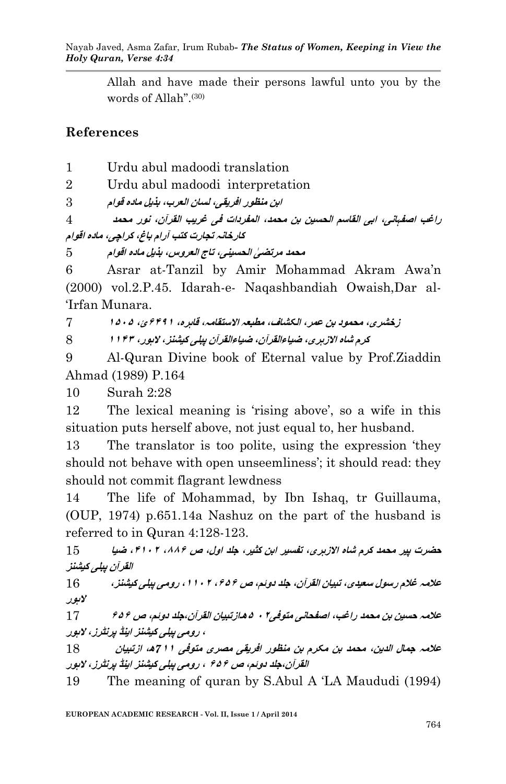Allah and have made their persons lawful unto you by the words of Allah".(30)

#### **References**

1 Urdu abul madoodi translation

2 Urdu abul madoodi interpretation

**ابن منظور افریقی، لسان العرب، بذیل مادہ قوام** 3

**راغب اصفہانی، ابی القاسم الحسین بن محمد، المفردات فی غریب القرآن، نور محمد** 4 **کارخانہ تجارت کتب آرام باغ، کراچی، مادہ اقوام**

**محمد مرتض ٰی الحسینی، تاج العروس، بذیل مادہ اقوام** 5

6 Asrar at-Tanzil by Amir Mohammad Akram Awa'n (2000) vol.2.P.45. Idarah-e- Naqashbandiah Owaish,Dar al- 'Irfan Munara.

**زخشری، محمود بن عمر، الکشاف، مطبعہ االستقامہ، قاہرہ، ۱۹۴۶ئ، ۶۱۵۱** 7

**کرم شاہ االزہری، ضیاءالقرآن، ضیاءالقرآن پبلی کیشنز، الہور، ۶۶۹۱** 8

9 Al-Quran Divine book of Eternal value by Prof.Ziaddin Ahmad (1989) P.164

10 Surah 2:28

12 The lexical meaning is 'rising above', so a wife in this situation puts herself above, not just equal to, her husband.

13 The translator is too polite, using the expression 'they should not behave with open unseemliness'; it should read: they should not commit flagrant lewdness

14 The life of Mohammad, by Ibn Ishaq, tr Guillauma, (OUP, 1974) p.651.14a Nashuz on the part of the husband is referred to in Quran 4:128-123.

**حضرت پیر محمد کرم شاہ االزہری، تفسیر ابن کثیر، جلد اول، ص ،۸۸۱ ،۹۶۵۴ ضیا** 15 **القرآن پبلی کیشنز**

**عالمہ غالم رسول سعیدی، تبیان القرآن، جلد دوئم، ص ،۱۱۱ ،۶۶۵۴ رومی پبلی کیشنز،** 16 **الہور**

**عالمہ حسین بن محمد راغب، اصفحانی متوفی۵۴ ۱ھ۔ازتبیان القرآن،جلد دوئم، ص ۱۱۱** 17 **، رومی پبلی کیشنز اینڈ پرنٹرز، الہور**

**عالمہ جمال الدین، محمد بن مکرم بن منظور افریقی مصری متوفی** *7***۶۶ھ، ازتبیان** 18 **القرآن،جلد دوئم، ص ۱۱۱ ، رومی پبلی کیشنز اینڈ پرنٹرز، الہور**

19 The meaning of quran by S.Abul A 'LA Maududi (1994)